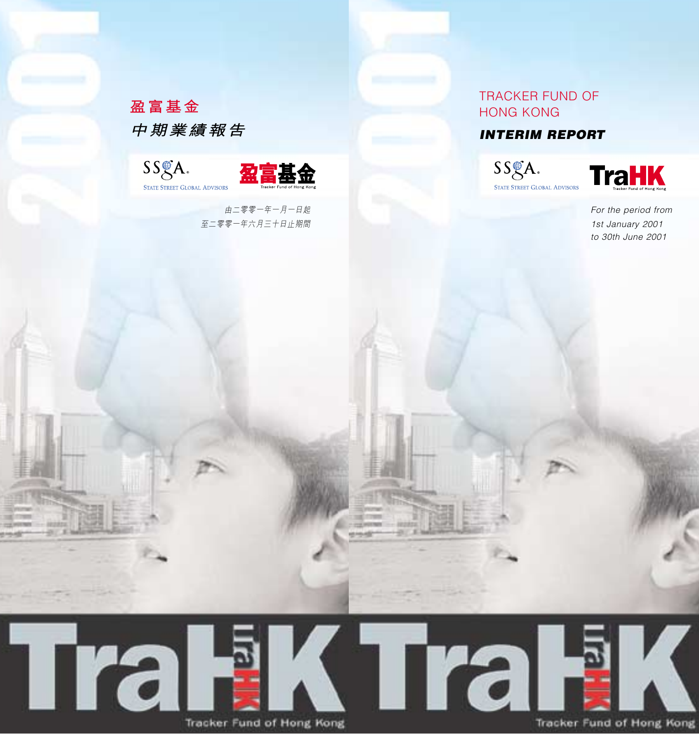# TRACKER FUND OF HONG KONG

# **INTERIM REPORT**





For the period from 1st January 2001 to 30th June 2001





Tracker Fund of Hong Kong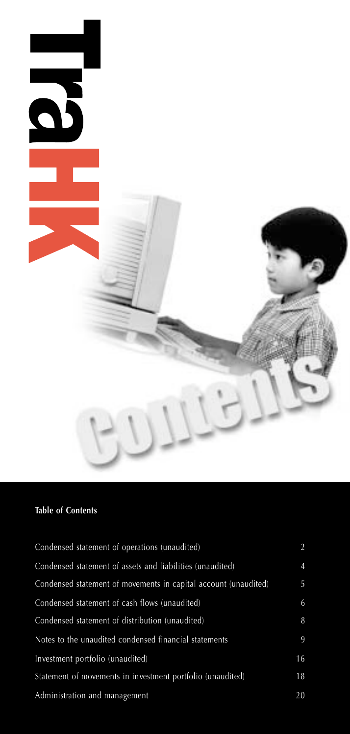

# **Table of Contents**

| Condensed statement of operations (unaudited)                   | 2              |
|-----------------------------------------------------------------|----------------|
| Condensed statement of assets and liabilities (unaudited)       | $\overline{4}$ |
| Condensed statement of movements in capital account (unaudited) | 5              |
| Condensed statement of cash flows (unaudited)                   | 6              |
| Condensed statement of distribution (unaudited)                 | 8              |
| Notes to the unaudited condensed financial statements           | 9              |
| Investment portfolio (unaudited)                                | 16             |
| Statement of movements in investment portfolio (unaudited)      | 18             |
| Administration and management                                   | 20             |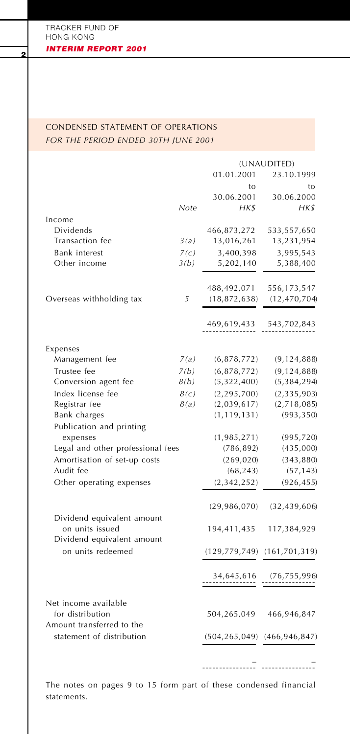# CONDENSED STATEMENT OF OPERATIONS *FOR THE PERIOD ENDED 30TH JUNE 2001*

|                                                                             |      |                 | (UNAUDITED)                 |
|-----------------------------------------------------------------------------|------|-----------------|-----------------------------|
|                                                                             |      | 01.01.2001      | 23.10.1999                  |
|                                                                             |      | to              | to                          |
|                                                                             |      | 30.06.2001      | 30.06.2000                  |
|                                                                             | Note | HK\$            | HK\$                        |
| Income                                                                      |      |                 |                             |
| Dividends                                                                   |      | 466,873,272     | 533,557,650                 |
| Transaction fee                                                             | 3(a) | 13,016,261      | 13,231,954                  |
| Bank interest                                                               | 7(c) | 3,400,398       | 3,995,543                   |
| Other income                                                                | 3(b) | 5,202,140       | 5,388,400                   |
|                                                                             |      | 488,492,071     | 556,173,547                 |
| Overseas withholding tax                                                    | 5    | (18, 872, 638)  | (12, 470, 704)              |
|                                                                             |      | 469,619,433     | 543,702,843                 |
| Expenses                                                                    |      |                 |                             |
| Management fee                                                              | 7(a) | (6,878,772)     | (9, 124, 888)               |
| Trustee fee                                                                 | 7(b) | (6, 878, 772)   | (9, 124, 888)               |
| Conversion agent fee                                                        | 8(b) | (5,322,400)     | (5,384,294)                 |
| Index license fee                                                           | 8(c) | (2, 295, 700)   | (2, 335, 903)               |
| Registrar fee                                                               | 8(a) | (2,039,617)     | (2,718,085)                 |
| Bank charges                                                                |      | (1, 119, 131)   | (993, 350)                  |
| Publication and printing                                                    |      |                 |                             |
| expenses                                                                    |      | (1,985,271)     | (995, 720)                  |
| Legal and other professional fees                                           |      | (786, 892)      | (435,000)                   |
| Amortisation of set-up costs                                                |      | (269, 020)      | (343, 880)                  |
| Audit fee                                                                   |      | (68, 243)       | (57, 143)                   |
| Other operating expenses                                                    |      | (2, 342, 252)   | (926, 455)                  |
|                                                                             |      | (29,986,070)    | (32, 439, 606)              |
| Dividend equivalent amount<br>on units issued<br>Dividend equivalent amount |      | 194,411,435     | 117,384,929                 |
| on units redeemed                                                           |      |                 | (129,779,749) (161,701,319) |
|                                                                             |      | 34,645,616      | (76, 755, 996)              |
| Net income available<br>for distribution<br>Amount transferred to the       |      | 504,265,049     | 466,946,847                 |
| statement of distribution                                                   |      | (504, 265, 049) | (466, 946, 847)             |
|                                                                             |      |                 |                             |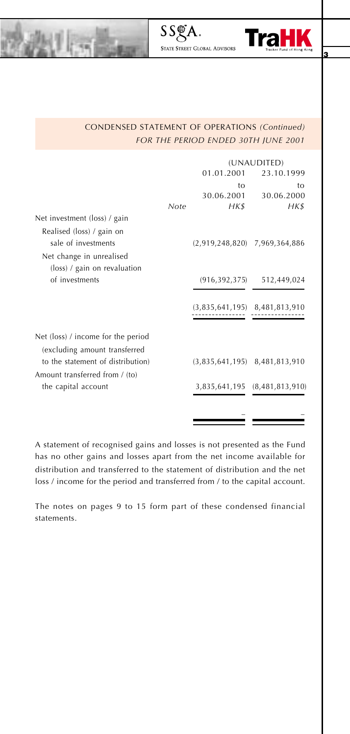

# CONDENSED STATEMENT OF OPERATIONS *(Continued) FOR THE PERIOD ENDED 30TH JUNE 2001*

STATE STREET GLOBAL ADVISORS

SSGA.

|                                    |      | (UNAUDITED)     |                                   |
|------------------------------------|------|-----------------|-----------------------------------|
|                                    |      | 01.01.2001      | 23.10.1999                        |
|                                    |      | tο              | tο                                |
|                                    |      | 30.06.2001      | 30.06.2000                        |
|                                    | Note | HK\$            | HK\$                              |
| Net investment (loss) / gain       |      |                 |                                   |
| Realised (loss) / gain on          |      |                 |                                   |
| sale of investments                |      |                 | $(2,919,248,820)$ 7,969,364,886   |
| Net change in unrealised           |      |                 |                                   |
| (loss) / gain on revaluation       |      |                 |                                   |
| of investments                     |      | (916, 392, 375) | 512,449,024                       |
|                                    |      |                 |                                   |
|                                    |      |                 | $(3,835,641,195)$ $8,481,813,910$ |
|                                    |      |                 |                                   |
|                                    |      |                 |                                   |
| Net (loss) / income for the period |      |                 |                                   |
| (excluding amount transferred      |      |                 |                                   |
| to the statement of distribution)  |      |                 | $(3,835,641,195)$ 8,481,813,910   |
| Amount transferred from / (to)     |      |                 |                                   |
| the capital account                |      |                 | 3,835,641,195 (8,481,813,910)     |
|                                    |      |                 |                                   |
|                                    |      |                 |                                   |
|                                    |      |                 |                                   |

A statement of recognised gains and losses is not presented as the Fund has no other gains and losses apart from the net income available for distribution and transferred to the statement of distribution and the net loss / income for the period and transferred from / to the capital account.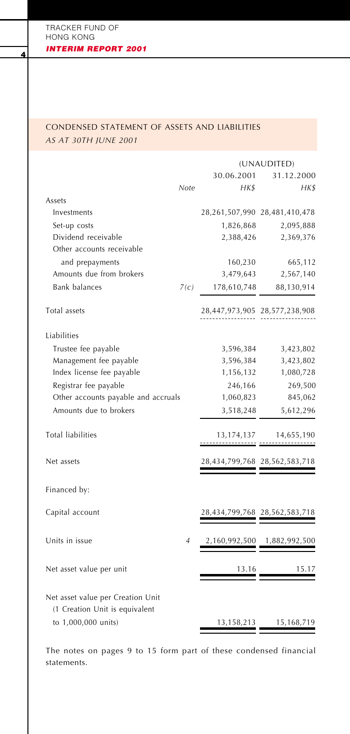# CONDENSED STATEMENT OF ASSETS AND LIABILITIES *AS AT 30TH JUNE 2001*

|                                                                     |                |               | (UNAUDITED)                   |
|---------------------------------------------------------------------|----------------|---------------|-------------------------------|
|                                                                     |                | 30.06.2001    | 31.12.2000                    |
|                                                                     | Note           | HK\$          | HK\$                          |
| Assets                                                              |                |               |                               |
| Investments                                                         |                |               | 28,261,507,990 28,481,410,478 |
| Set-up costs                                                        |                | 1,826,868     | 2,095,888                     |
| Dividend receivable                                                 |                | 2,388,426     | 2,369,376                     |
| Other accounts receivable                                           |                |               |                               |
| and prepayments                                                     |                | 160,230       | 665,112                       |
| Amounts due from brokers                                            |                | 3,479,643     | 2,567,140                     |
| <b>Bank balances</b>                                                | 7(c)           | 178,610,748   | 88,130,914                    |
| Total assets                                                        |                |               | 28,447,973,905 28,577,238,908 |
| Liabilities                                                         |                |               |                               |
| Trustee fee payable                                                 |                | 3,596,384     | 3,423,802                     |
| Management fee payable                                              |                | 3,596,384     | 3,423,802                     |
| Index license fee payable                                           |                | 1,156,132     | 1,080,728                     |
| Registrar fee payable                                               |                | 246,166       | 269,500                       |
| Other accounts payable and accruals                                 |                | 1,060,823     | 845,062                       |
| Amounts due to brokers                                              |                | 3,518,248     | 5,612,296                     |
| <b>Total liabilities</b>                                            |                | 13,174,137    | 14,655,190                    |
| Net assets                                                          |                |               | 28,434,799,768 28,562,583,718 |
| Financed by:                                                        |                |               |                               |
| Capital account                                                     |                |               | 28,434,799,768 28,562,583,718 |
| Units in issue                                                      | $\overline{4}$ | 2,160,992,500 | 1,882,992,500                 |
| Net asset value per unit                                            |                | 13.16         | 15.17                         |
| Net asset value per Creation Unit<br>(1 Creation Unit is equivalent |                |               |                               |
| to 1,000,000 units)                                                 |                | 13,158,213    | 15,168,719                    |
|                                                                     |                |               |                               |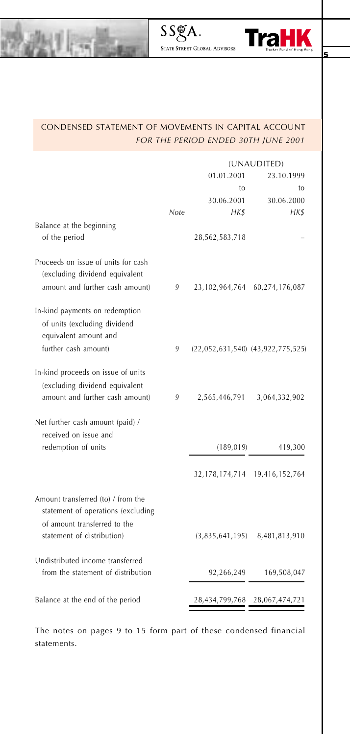

# CONDENSED STATEMENT OF MOVEMENTS IN CAPITAL ACCOUNT *FOR THE PERIOD ENDED 30TH JUNE 2001*

|                                                                                                                                        |      | (UNAUDITED)     |                                       |
|----------------------------------------------------------------------------------------------------------------------------------------|------|-----------------|---------------------------------------|
|                                                                                                                                        |      | 01.01.2001      | 23.10.1999                            |
|                                                                                                                                        |      | to              | to                                    |
|                                                                                                                                        |      | 30.06.2001      | 30.06.2000                            |
|                                                                                                                                        | Note | <b>HKS</b>      | <b>HKS</b>                            |
| Balance at the beginning                                                                                                               |      |                 |                                       |
| of the period                                                                                                                          |      | 28,562,583,718  |                                       |
| Proceeds on issue of units for cash<br>(excluding dividend equivalent<br>amount and further cash amount)                               | 9    | 23,102,964,764  | 60,274,176,087                        |
| In-kind payments on redemption<br>of units (excluding dividend<br>equivalent amount and                                                |      |                 |                                       |
| further cash amount)                                                                                                                   | 9    |                 | $(22,052,631,540)$ $(43,922,775,525)$ |
| In-kind proceeds on issue of units<br>(excluding dividend equivalent<br>amount and further cash amount)                                | 9    | 2,565,446,791   | 3,064,332,902                         |
| Net further cash amount (paid) /<br>received on issue and<br>redemption of units                                                       |      | (189, 019)      | 419,300                               |
|                                                                                                                                        |      |                 |                                       |
|                                                                                                                                        |      | 32,178,174,714  | 19,416,152,764                        |
| Amount transferred (to) / from the<br>statement of operations (excluding<br>of amount transferred to the<br>statement of distribution) |      | (3,835,641,195) | 8,481,813,910                         |
|                                                                                                                                        |      |                 |                                       |
| Undistributed income transferred<br>from the statement of distribution                                                                 |      | 92,266,249      | 169,508,047                           |
| Balance at the end of the period                                                                                                       |      | 28,434,799,768  | 28,067,474,721                        |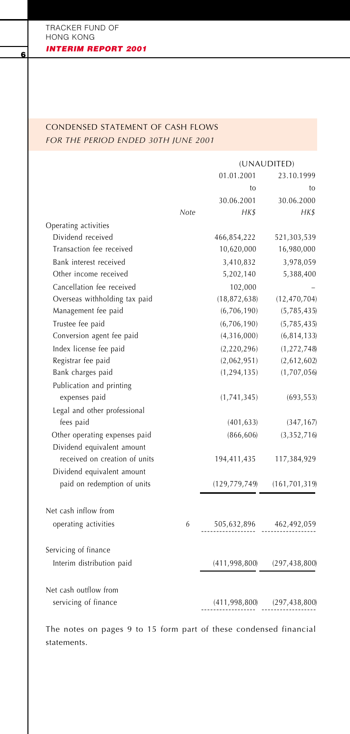# CONDENSED STATEMENT OF CASH FLOWS *FOR THE PERIOD ENDED 30TH JUNE 2001*

|                               | (UNAUDITED) |                 |                 |
|-------------------------------|-------------|-----------------|-----------------|
|                               |             | 01.01.2001      | 23.10.1999      |
|                               |             | to              | to              |
|                               |             | 30.06.2001      | 30.06.2000      |
|                               | Note        | <b>HKS</b>      | <b>HKS</b>      |
| Operating activities          |             |                 |                 |
| Dividend received             |             | 466,854,222     | 521,303,539     |
| Transaction fee received      |             | 10,620,000      | 16,980,000      |
| Bank interest received        |             | 3,410,832       | 3,978,059       |
| Other income received         |             | 5,202,140       | 5,388,400       |
| Cancellation fee received     |             | 102,000         |                 |
| Overseas withholding tax paid |             | (18, 872, 638)  | (12, 470, 704)  |
| Management fee paid           |             | (6,706,190)     | (5,785,435)     |
| Trustee fee paid              |             | (6,706,190)     | (5,785,435)     |
| Conversion agent fee paid     |             | (4,316,000)     | (6, 814, 133)   |
| Index license fee paid        |             | (2, 220, 296)   | (1, 272, 748)   |
| Registrar fee paid            |             | (2,062,951)     | (2,612,602)     |
| Bank charges paid             |             | (1, 294, 135)   | (1,707,056)     |
| Publication and printing      |             |                 |                 |
| expenses paid                 |             | (1,741,345)     | (693, 553)      |
| Legal and other professional  |             |                 |                 |
| fees paid                     |             | (401, 633)      | (347, 167)      |
| Other operating expenses paid |             | (866, 606)      | (3,352,716)     |
| Dividend equivalent amount    |             |                 |                 |
| received on creation of units |             | 194,411,435     | 117,384,929     |
| Dividend equivalent amount    |             |                 |                 |
| paid on redemption of units   |             | (129, 779, 749) | (161, 701, 319) |
|                               |             |                 |                 |
| Net cash inflow from          |             |                 |                 |
| operating activities          | 6           | 505,632,896     | 462,492,059     |
|                               |             |                 |                 |
| Servicing of finance          |             |                 |                 |
| Interim distribution paid     |             | (411, 998, 800) | (297, 438, 800) |
|                               |             |                 |                 |
| Net cash outflow from         |             |                 |                 |
| servicing of finance          |             | (411, 998, 800) | (297, 438, 800) |
|                               |             |                 |                 |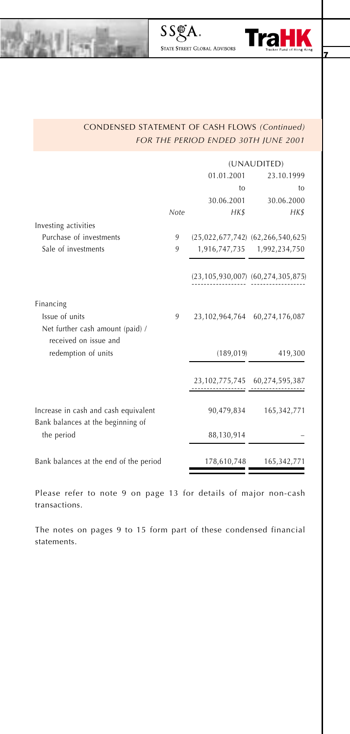

# CONDENSED STATEMENT OF CASH FLOWS *(Continued) FOR THE PERIOD ENDED 30TH JUNE 2001*

SSgA.

|                                                           |      | (UNAUDITED) |                                       |  |
|-----------------------------------------------------------|------|-------------|---------------------------------------|--|
|                                                           |      | 01.01.2001  | 23.10.1999                            |  |
|                                                           |      | to          | to                                    |  |
|                                                           |      | 30.06.2001  | 30.06.2000                            |  |
|                                                           | Note | <b>HK\$</b> | <b>HK\$</b>                           |  |
| Investing activities                                      |      |             |                                       |  |
| Purchase of investments                                   | 9    |             | $(25,022,677,742)$ $(62,266,540,625)$ |  |
| Sale of investments                                       | 9    |             | 1,916,747,735 1,992,234,750           |  |
|                                                           |      |             | (23,105,930,007) (60,274,305,875)     |  |
| Financing                                                 |      |             |                                       |  |
| Issue of units                                            | 9    |             | 23,102,964,764 60,274,176,087         |  |
| Net further cash amount (paid) /<br>received on issue and |      |             |                                       |  |
| redemption of units                                       |      | (189, 019)  | 419,300                               |  |
|                                                           |      |             | 23,102,775,745 60,274,595,387         |  |
| Increase in cash and cash equivalent                      |      | 90,479,834  | 165, 342, 771                         |  |
| Bank balances at the beginning of<br>the period           |      | 88,130,914  |                                       |  |
| Bank balances at the end of the period                    |      | 178,610,748 | 165,342,771                           |  |

Please refer to note 9 on page 13 for details of major non-cash transactions.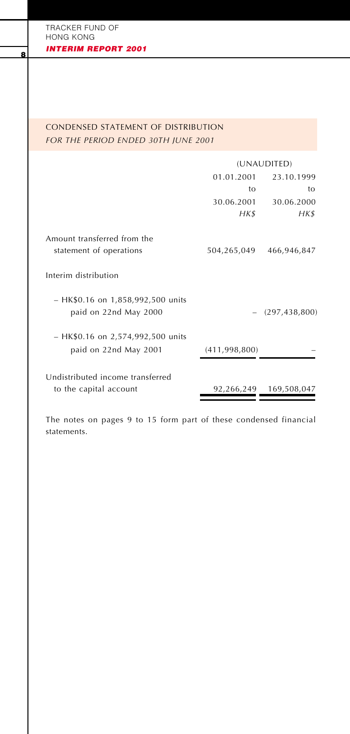# CONDENSED STATEMENT OF DISTRIBUTION *FOR THE PERIOD ENDED 30TH JUNE 2001*

|                                                              | (UNAUDITED)     |                        |
|--------------------------------------------------------------|-----------------|------------------------|
|                                                              | 01.01.2001      | 23.10.1999             |
|                                                              | to              | to                     |
|                                                              | 30.06.2001      | 30.06.2000             |
|                                                              | HK\$            | HK\$                   |
| Amount transferred from the<br>statement of operations       | 504,265,049     | 466,946,847            |
| Interim distribution                                         |                 |                        |
| - HK\$0.16 on 1,858,992,500 units<br>paid on 22nd May 2000   |                 | (297, 438, 800)        |
| $-$ HK\$0.16 on 2,574,992,500 units<br>paid on 22nd May 2001 | (411, 998, 800) |                        |
| Undistributed income transferred<br>to the capital account   |                 | 92,266,249 169,508,047 |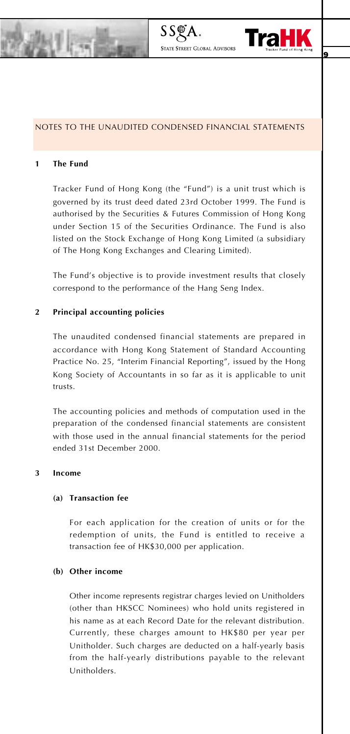



#### NOTES TO THE UNAUDITED CONDENSED FINANCIAL STATEMENTS

#### **1 The Fund**

Tracker Fund of Hong Kong (the "Fund") is a unit trust which is governed by its trust deed dated 23rd October 1999. The Fund is authorised by the Securities & Futures Commission of Hong Kong under Section 15 of the Securities Ordinance. The Fund is also listed on the Stock Exchange of Hong Kong Limited (a subsidiary of The Hong Kong Exchanges and Clearing Limited).

The Fund's objective is to provide investment results that closely correspond to the performance of the Hang Seng Index.

### **2 Principal accounting policies**

The unaudited condensed financial statements are prepared in accordance with Hong Kong Statement of Standard Accounting Practice No. 25, "Interim Financial Reporting", issued by the Hong Kong Society of Accountants in so far as it is applicable to unit trusts.

The accounting policies and methods of computation used in the preparation of the condensed financial statements are consistent with those used in the annual financial statements for the period ended 31st December 2000.

### **3 Income**

#### **(a) Transaction fee**

For each application for the creation of units or for the redemption of units, the Fund is entitled to receive a transaction fee of HK\$30,000 per application.

### **(b) Other income**

Other income represents registrar charges levied on Unitholders (other than HKSCC Nominees) who hold units registered in his name as at each Record Date for the relevant distribution. Currently, these charges amount to HK\$80 per year per Unitholder. Such charges are deducted on a half-yearly basis from the half-yearly distributions payable to the relevant Unitholders.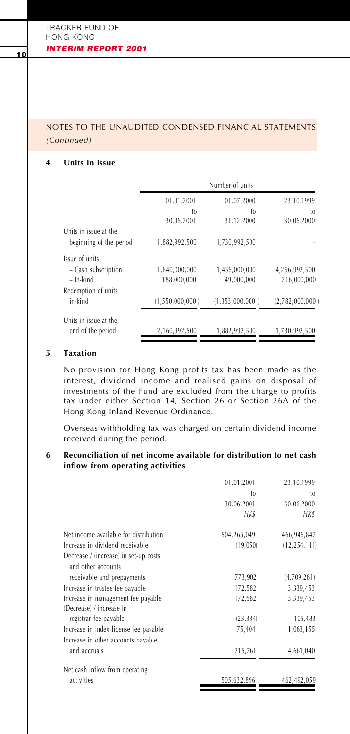# NOTES TO THE UNAUDITED CONDENSED FINANCIAL STATEMENTS *(Continued)*

### **4 Units in issue**

|                         |                  | Number of units  |                  |
|-------------------------|------------------|------------------|------------------|
|                         | 01.01.2001       | 01.07.2000       | 23.10.1999       |
|                         | to<br>30.06.2001 | to<br>31.12.2000 | to<br>30.06.2000 |
| Units in issue at the   |                  |                  |                  |
| beginning of the period | 1,882,992,500    | 1,730,992,500    |                  |
| Issue of units          |                  |                  |                  |
| - Cash subscription     | 1,640,000,000    | 1,456,000,000    | 4,296,992,500    |
| $-$ In-kind             | 188.000.000      | 49,000,000       | 216.000.000      |
| Redemption of units     |                  |                  |                  |
| in-kind                 | (1,550,000,000)  | (1,353,000,000)  | (2,782,000,000)  |
| Units in issue at the   |                  |                  |                  |
| end of the period       | 2,160,992,500    | 1,882,992,500    | 1,730,992,500    |

### **5 Taxation**

No provision for Hong Kong profits tax has been made as the interest, dividend income and realised gains on disposal of investments of the Fund are excluded from the charge to profits tax under either Section 14, Section 26 or Section 26A of the Hong Kong Inland Revenue Ordinance.

Overseas withholding tax was charged on certain dividend income received during the period.

### **6 Reconciliation of net income available for distribution to net cash inflow from operating activities**

|                                                             | 01.01.2001  | 23.10.1999     |
|-------------------------------------------------------------|-------------|----------------|
|                                                             | to          | to             |
|                                                             | 30.06.2001  | 30.06.2000     |
|                                                             | HK\$        | <b>HK\$</b>    |
| Net income available for distribution                       | 504,265,049 | 466,946,847    |
| Increase in dividend receivable                             | (19,050)    | (12, 254, 111) |
| Decrease / (increase) in set-up costs<br>and other accounts |             |                |
| receivable and prepayments                                  | 773,902     | (4,709,261)    |
| Increase in trustee fee payable                             | 172,582     | 3,339,453      |
| Increase in management fee payable                          | 172,582     | 3,339,453      |
| (Decrease) / increase in                                    |             |                |
| registrar fee payable                                       | (23, 334)   | 105,483        |
| Increase in index license fee payable                       | 75,404      | 1,063,155      |
| Increase in other accounts payable                          |             |                |
| and accruals                                                | 215,761     | 4,661,040      |
| Net cash inflow from operating                              |             |                |
| activities                                                  | 505,632,896 | 462,492,059    |
|                                                             |             |                |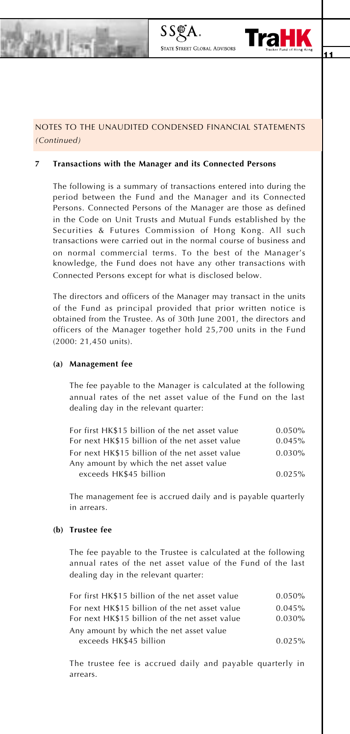

# NOTES TO THE UNAUDITED CONDENSED FINANCIAL STATEMENTS *(Continued)*

**STATE STREET GLOBAL ADVISOR** 

#### **7 Transactions with the Manager and its Connected Persons**

The following is a summary of transactions entered into during the period between the Fund and the Manager and its Connected Persons. Connected Persons of the Manager are those as defined in the Code on Unit Trusts and Mutual Funds established by the Securities & Futures Commission of Hong Kong. All such transactions were carried out in the normal course of business and on normal commercial terms. To the best of the Manager's knowledge, the Fund does not have any other transactions with Connected Persons except for what is disclosed below.

The directors and officers of the Manager may transact in the units of the Fund as principal provided that prior written notice is obtained from the Trustee. As of 30th June 2001, the directors and officers of the Manager together hold 25,700 units in the Fund (2000: 21,450 units).

#### **(a) Management fee**

The fee payable to the Manager is calculated at the following annual rates of the net asset value of the Fund on the last dealing day in the relevant quarter:

| For first HK\$15 billion of the net asset value | 0.050%    |
|-------------------------------------------------|-----------|
| For next HK\$15 billion of the net asset value  | 0.045%    |
| For next HK\$15 billion of the net asset value  | $0.030\%$ |
| Any amount by which the net asset value         |           |
| exceeds HK\$45 billion                          | 0.025%    |
|                                                 |           |

The management fee is accrued daily and is payable quarterly in arrears.

# **(b) Trustee fee**

The fee payable to the Trustee is calculated at the following annual rates of the net asset value of the Fund of the last dealing day in the relevant quarter:

| For first HK\$15 billion of the net asset value | 0.050%    |
|-------------------------------------------------|-----------|
| For next HK\$15 billion of the net asset value  | 0.045%    |
| For next HK\$15 billion of the net asset value  | $0.030\%$ |
| Any amount by which the net asset value         |           |
| exceeds HK\$45 billion                          | 0.025%    |

The trustee fee is accrued daily and payable quarterly in arrears.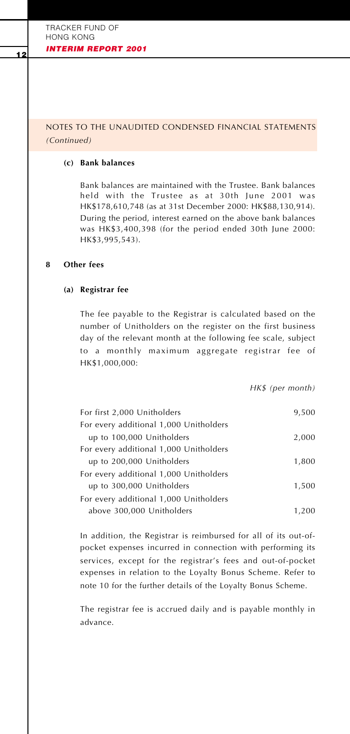## NOTES TO THE UNAUDITED CONDENSED FINANCIAL STATEMENTS *(Continued)*

### **(c) Bank balances**

Bank balances are maintained with the Trustee. Bank balances held with the Trustee as at 30th June 2001 was HK\$178,610,748 (as at 31st December 2000: HK\$88,130,914). During the period, interest earned on the above bank balances was HK\$3,400,398 (for the period ended 30th June 2000: HK\$3,995,543).

### **8 Other fees**

### **(a) Registrar fee**

The fee payable to the Registrar is calculated based on the number of Unitholders on the register on the first business day of the relevant month at the following fee scale, subject to a monthly maximum aggregate registrar fee of HK\$1,000,000:

*HK\$ (per month)*

| For first 2,000 Unitholders            | 9,500 |
|----------------------------------------|-------|
| For every additional 1,000 Unitholders |       |
| up to 100,000 Unitholders              | 2,000 |
| For every additional 1,000 Unitholders |       |
| up to 200,000 Unitholders              | 1,800 |
| For every additional 1,000 Unitholders |       |
| up to 300,000 Unitholders              | 1.500 |
| For every additional 1,000 Unitholders |       |
| above 300,000 Unitholders              | 1.200 |

In addition, the Registrar is reimbursed for all of its out-ofpocket expenses incurred in connection with performing its services, except for the registrar's fees and out-of-pocket expenses in relation to the Loyalty Bonus Scheme. Refer to note 10 for the further details of the Loyalty Bonus Scheme.

The registrar fee is accrued daily and is payable monthly in advance.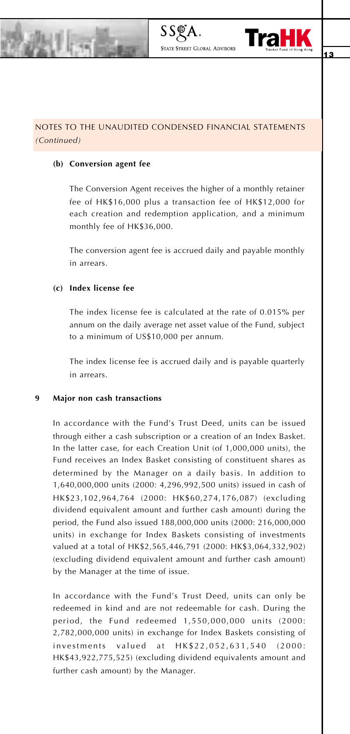

# NOTES TO THE UNAUDITED CONDENSED FINANCIAL STATEMENTS *(Continued)*

#### **(b) Conversion agent fee**

The Conversion Agent receives the higher of a monthly retainer fee of HK\$16,000 plus a transaction fee of HK\$12,000 for each creation and redemption application, and a minimum monthly fee of HK\$36,000.

**STATE STREET GLOBAL ADVISOR** 

The conversion agent fee is accrued daily and payable monthly in arrears.

### **(c) Index license fee**

The index license fee is calculated at the rate of 0.015% per annum on the daily average net asset value of the Fund, subject to a minimum of US\$10,000 per annum.

The index license fee is accrued daily and is payable quarterly in arrears.

#### **9 Major non cash transactions**

In accordance with the Fund's Trust Deed, units can be issued through either a cash subscription or a creation of an Index Basket. In the latter case, for each Creation Unit (of 1,000,000 units), the Fund receives an Index Basket consisting of constituent shares as determined by the Manager on a daily basis. In addition to 1,640,000,000 units (2000: 4,296,992,500 units) issued in cash of HK\$23,102,964,764 (2000: HK\$60,274,176,087) (excluding dividend equivalent amount and further cash amount) during the period, the Fund also issued 188,000,000 units (2000: 216,000,000 units) in exchange for Index Baskets consisting of investments valued at a total of HK\$2,565,446,791 (2000: HK\$3,064,332,902) (excluding dividend equivalent amount and further cash amount) by the Manager at the time of issue.

In accordance with the Fund's Trust Deed, units can only be redeemed in kind and are not redeemable for cash. During the period, the Fund redeemed 1,550,000,000 units (2000: 2,782,000,000 units) in exchange for Index Baskets consisting of investments valued at HK\$22,052,631,540 (2000: HK\$43,922,775,525) (excluding dividend equivalents amount and further cash amount) by the Manager.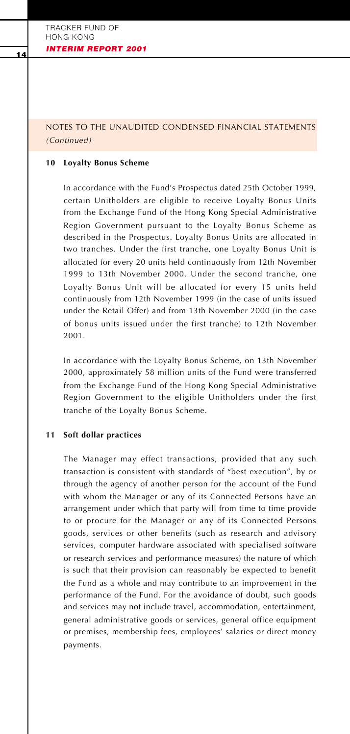# NOTES TO THE UNAUDITED CONDENSED FINANCIAL STATEMENTS *(Continued)*

#### **10 Loyalty Bonus Scheme**

In accordance with the Fund's Prospectus dated 25th October 1999, certain Unitholders are eligible to receive Loyalty Bonus Units from the Exchange Fund of the Hong Kong Special Administrative Region Government pursuant to the Loyalty Bonus Scheme as described in the Prospectus. Loyalty Bonus Units are allocated in two tranches. Under the first tranche, one Loyalty Bonus Unit is allocated for every 20 units held continuously from 12th November 1999 to 13th November 2000. Under the second tranche, one Loyalty Bonus Unit will be allocated for every 15 units held continuously from 12th November 1999 (in the case of units issued under the Retail Offer) and from 13th November 2000 (in the case of bonus units issued under the first tranche) to 12th November 2001.

In accordance with the Loyalty Bonus Scheme, on 13th November 2000, approximately 58 million units of the Fund were transferred from the Exchange Fund of the Hong Kong Special Administrative Region Government to the eligible Unitholders under the first tranche of the Loyalty Bonus Scheme.

#### **11 Soft dollar practices**

The Manager may effect transactions, provided that any such transaction is consistent with standards of "best execution", by or through the agency of another person for the account of the Fund with whom the Manager or any of its Connected Persons have an arrangement under which that party will from time to time provide to or procure for the Manager or any of its Connected Persons goods, services or other benefits (such as research and advisory services, computer hardware associated with specialised software or research services and performance measures) the nature of which is such that their provision can reasonably be expected to benefit the Fund as a whole and may contribute to an improvement in the performance of the Fund. For the avoidance of doubt, such goods and services may not include travel, accommodation, entertainment, general administrative goods or services, general office equipment or premises, membership fees, employees' salaries or direct money payments.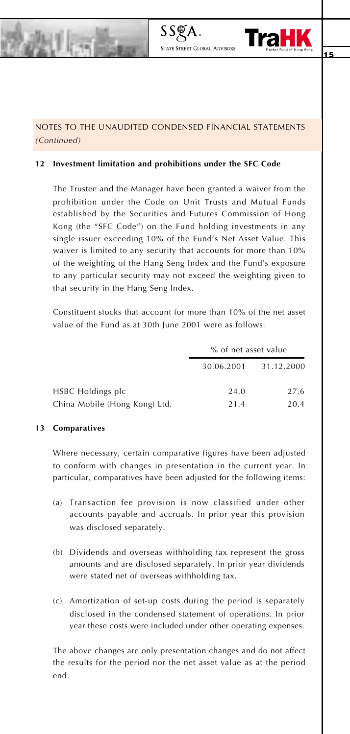

# NOTES TO THE UNAUDITED CONDENSED FINANCIAL STATEMENTS *(Continued)*

**STATE STREET GLOBAL ADVISOR** 

### **12 Investment limitation and prohibitions under the SFC Code**

The Trustee and the Manager have been granted a waiver from the prohibition under the Code on Unit Trusts and Mutual Funds established by the Securities and Futures Commission of Hong Kong (the "SFC Code") on the Fund holding investments in any single issuer exceeding 10% of the Fund's Net Asset Value. This waiver is limited to any security that accounts for more than 10% of the weighting of the Hang Seng Index and the Fund's exposure to any particular security may not exceed the weighting given to that security in the Hang Seng Index.

Constituent stocks that account for more than 10% of the net asset value of the Fund as at 30th June 2001 were as follows:

|                               | % of net asset value |            |  |
|-------------------------------|----------------------|------------|--|
|                               | 30.06.2001           | 31.12.2000 |  |
| <b>HSBC</b> Holdings plc      | 24.0                 | 27.6       |  |
| China Mobile (Hong Kong) Ltd. | 21.4                 | 20.4       |  |

#### **13 Comparatives**

Where necessary, certain comparative figures have been adjusted to conform with changes in presentation in the current year. In particular, comparatives have been adjusted for the following items:

- (a) Transaction fee provision is now classified under other accounts payable and accruals. In prior year this provision was disclosed separately.
- (b) Dividends and overseas withholding tax represent the gross amounts and are disclosed separately. In prior year dividends were stated net of overseas withholding tax.
- (c) Amortization of set-up costs during the period is separately disclosed in the condensed statement of operations. In prior year these costs were included under other operating expenses.

The above changes are only presentation changes and do not affect the results for the period nor the net asset value as at the period end.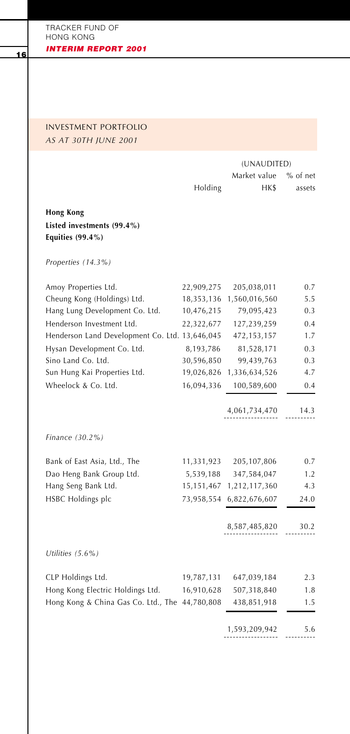# INVESTMENT PORTFOLIO *AS AT 30TH JUNE 2001*

|                                                |            | (UNAUDITED)   |            |
|------------------------------------------------|------------|---------------|------------|
|                                                |            | Market value  | $%$ of net |
|                                                | Holding    | HK\$          | assets     |
| <b>Hong Kong</b>                               |            |               |            |
| Listed investments (99.4%)                     |            |               |            |
| Equities $(99.4\%)$                            |            |               |            |
| Properties (14.3%)                             |            |               |            |
| Amoy Properties Ltd.                           | 22,909,275 | 205,038,011   | 0.7        |
| Cheung Kong (Holdings) Ltd.                    | 18,353,136 | 1,560,016,560 | 5.5        |
| Hang Lung Development Co. Ltd.                 | 10,476,215 | 79,095,423    | 0.3        |
| Henderson Investment Ltd.                      | 22,322,677 | 127,239,259   | 0.4        |
| Henderson Land Development Co. Ltd. 13,646,045 |            | 472, 153, 157 | 1.7        |
| Hysan Development Co. Ltd.                     | 8,193,786  | 81,528,171    | 0.3        |
| Sino Land Co. Ltd.                             | 30,596,850 | 99,439,763    | 0.3        |
| Sun Hung Kai Properties Ltd.                   | 19,026,826 | 1,336,634,526 | 4.7        |
| Wheelock & Co. Ltd.                            | 16,094,336 | 100,589,600   | 0.4        |
|                                                |            | 4,061,734,470 | 14.3       |
| Finance (30.2%)                                |            |               |            |
| Bank of East Asia, Ltd., The                   | 11,331,923 | 205, 107, 806 | 0.7        |
| Dao Heng Bank Group Ltd.                       | 5,539,188  | 347,584,047   | 1.2        |
| Hang Seng Bank Ltd.                            | 15,151,467 | 1,212,117,360 | 4.3        |
| HSBC Holdings plc                              | 73,958,554 | 6,822,676,607 | 24.0       |
|                                                |            | 8,587,485,820 | 30.2       |
| Utilities $(5.6\%)$                            |            |               |            |
| CLP Holdings Ltd.                              | 19,787,131 | 647,039,184   | 2.3        |
| Hong Kong Electric Holdings Ltd.               | 16,910,628 | 507,318,840   | 1.8        |
| Hong Kong & China Gas Co. Ltd., The 44,780,808 |            | 438,851,918   | 1.5        |
|                                                |            |               |            |

1,593,209,942 5.6 ------------------ ----------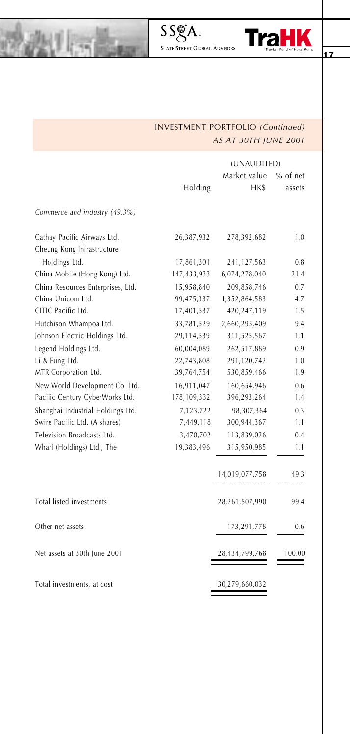

# INVESTMENT PORTFOLIO *(Continued) AS AT 30TH JUNE 2001*

 $SS\_{\textrm{S}}\ \textrm{A}_{\textrm{s}}$ state Street Global Advisors

激电器

|                                   |             | (UNAUDITED)    |            |  |
|-----------------------------------|-------------|----------------|------------|--|
|                                   |             | Market value   | $%$ of net |  |
|                                   | Holding     | HK\$           | assets     |  |
| Commerce and industry (49.3%)     |             |                |            |  |
| Cathay Pacific Airways Ltd.       | 26,387,932  | 278,392,682    | 1.0        |  |
| Cheung Kong Infrastructure        |             |                |            |  |
| Holdings Ltd.                     | 17,861,301  | 241,127,563    | 0.8        |  |
| China Mobile (Hong Kong) Ltd.     | 147,433,933 | 6,074,278,040  | 21.4       |  |
| China Resources Enterprises, Ltd. | 15,958,840  | 209,858,746    | 0.7        |  |
| China Unicom Ltd.                 | 99,475,337  | 1,352,864,583  | 4.7        |  |
| CITIC Pacific Ltd.                | 17,401,537  | 420,247,119    | 1.5        |  |
| Hutchison Whampoa Ltd.            | 33,781,529  | 2,660,295,409  | 9.4        |  |
| Johnson Electric Holdings Ltd.    | 29,114,539  | 311,525,567    | 1.1        |  |
| Legend Holdings Ltd.              | 60,004,089  | 262,517,889    | 0.9        |  |
| Li & Fung Ltd.                    | 22,743,808  | 291,120,742    | 1.0        |  |
| MTR Corporation Ltd.              | 39,764,754  | 530,859,466    | 1.9        |  |
| New World Development Co. Ltd.    | 16,911,047  | 160,654,946    | 0.6        |  |
| Pacific Century CyberWorks Ltd.   | 178,109,332 | 396,293,264    | 1.4        |  |
| Shanghai Industrial Holdings Ltd. | 7,123,722   | 98,307,364     | 0.3        |  |
| Swire Pacific Ltd. (A shares)     | 7,449,118   | 300,944,367    | 1.1        |  |
| Television Broadcasts Ltd.        | 3,470,702   | 113,839,026    | 0.4        |  |
| Wharf (Holdings) Ltd., The        | 19,383,496  | 315,950,985    | 1.1        |  |
|                                   |             | 14,019,077,758 | 49.3       |  |
| Total listed investments          |             | 28,261,507,990 | 99.4       |  |
| Other net assets                  |             | 173,291,778    | 0.6        |  |
| Net assets at 30th June 2001      |             | 28,434,799,768 | 100.00     |  |
| Total investments, at cost        |             | 30,279,660,032 |            |  |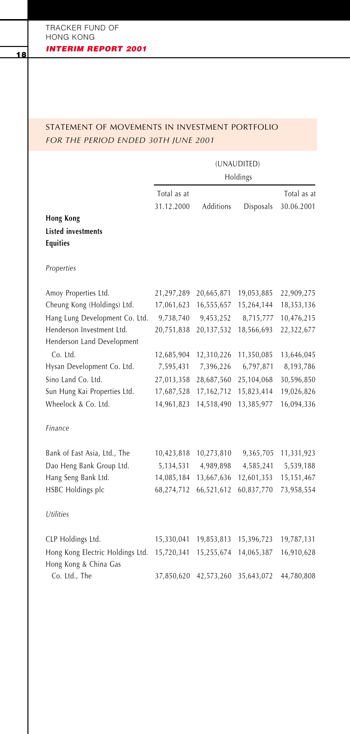# STATEMENT OF MOVEMENTS IN INVESTMENT PORTFOLIO *FOR THE PERIOD ENDED 30TH JUNE 2001*

(UNAUDITED) Holdings Total as at Total as at 31.12.2000 Additions Disposals 30.06.2001 **Hong Kong Listed investments Equities** *Properties* Amoy Properties Ltd. 21,297,289 20,665,871 19,053,885 22,909,275 Cheung Kong (Holdings) Ltd. 17,061,623 16,555,657 15,264,144 18,353,136 Hang Lung Development Co. Ltd. 9,738,740 9,453,252 8,715,777 10,476,215 Henderson Investment Ltd. 20,751,838 20,137,532 18,566,693 22,322,677 Henderson Land Development Co. Ltd. 12,685,904 12,310,226 11,350,085 13,646,045 Hysan Development Co. Ltd. 7,595,431 7,396,226 6,797,871 8,193,786 Sino Land Co. Ltd. 27,013,358 28,687,560 25,104,068 30,596,850 Sun Hung Kai Properties Ltd. 17,687,528 17,162,712 15,823,414 19,026,826 Wheelock & Co. Ltd. 14,961,823 14,518,490 13,385,977 16,094,336 *Finance* Bank of East Asia, Ltd., The 10,423,818 10,273,810 9,365,705 11,331,923 Dao Heng Bank Group Ltd. 5,134,531 4,989,898 4,585,241 5,539,188 Hang Seng Bank Ltd. 14,085,184 13,667,636 12,601,353 15,151,467 HSBC Holdings plc 68,274,712 66,521,612 60,837,770 73,958,554 *Utilities* CLP Holdings Ltd. 15,330,041 19,853,813 15,396,723 19,787,131 Hong Kong Electric Holdings Ltd. 15,720,341 15,255,674 14,065,387 16,910,628 Hong Kong & China Gas Co. Ltd., The 37,850,620 42,573,260 35,643,072 44,780,808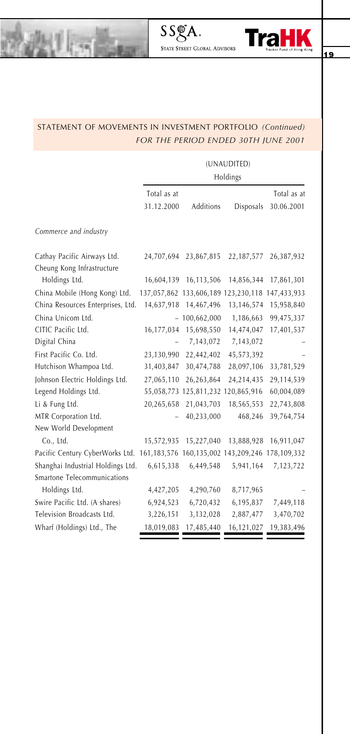

# STATEMENT OF MOVEMENTS IN INVESTMENT PORTFOLIO *(Continued) FOR THE PERIOD ENDED 30TH JUNE 2001*

激电器

(UNAUDITED)

|                                                                                 | Holdings    |                  |                                                 |             |  |
|---------------------------------------------------------------------------------|-------------|------------------|-------------------------------------------------|-------------|--|
|                                                                                 | Total as at |                  |                                                 | Total as at |  |
|                                                                                 | 31.12.2000  | <b>Additions</b> | Disposals                                       | 30.06.2001  |  |
| Commerce and industry                                                           |             |                  |                                                 |             |  |
| Cathay Pacific Airways Ltd.                                                     | 24,707,694  | 23,867,815       | 22,187,577                                      | 26,387,932  |  |
| Cheung Kong Infrastructure                                                      |             |                  |                                                 |             |  |
| Holdings Ltd.                                                                   | 16,604,139  | 16,113,506       | 14,856,344                                      | 17,861,301  |  |
| China Mobile (Hong Kong) Ltd.                                                   |             |                  | 137,057,862 133,606,189 123,230,118 147,433,933 |             |  |
| China Resources Enterprises, Ltd.                                               | 14,637,918  | 14,467,496       | 13,146,574                                      | 15,958,840  |  |
| China Unicom Ltd.                                                               |             | $-100,662,000$   | 1,186,663                                       | 99,475,337  |  |
| CITIC Pacific Ltd.                                                              | 16,177,034  | 15,698,550       | 14,474,047                                      | 17,401,537  |  |
| Digital China                                                                   |             | 7,143,072        | 7,143,072                                       |             |  |
| First Pacific Co. Ltd.                                                          | 23,130,990  | 22,442,402       | 45,573,392                                      |             |  |
| Hutchison Whampoa Ltd.                                                          | 31,403,847  | 30,474,788       | 28,097,106                                      | 33,781,529  |  |
| Johnson Electric Holdings Ltd.                                                  | 27,065,110  | 26,263,864       | 24,214,435                                      | 29,114,539  |  |
| Legend Holdings Ltd.                                                            |             |                  | 55,058,773 125,811,232 120,865,916              | 60,004,089  |  |
| Li & Fung Ltd.                                                                  | 20,265,658  | 21,043,703       | 18,565,553                                      | 22,743,808  |  |
| MTR Corporation Ltd.                                                            |             | 40,233,000       | 468,246                                         | 39,764,754  |  |
| New World Development                                                           |             |                  |                                                 |             |  |
| Co., Ltd.                                                                       | 15,572,935  | 15,227,040       | 13,888,928                                      | 16,911,047  |  |
| Pacific Century CyberWorks Ltd. 161,183,576 160,135,002 143,209,246 178,109,332 |             |                  |                                                 |             |  |
| Shanghai Industrial Holdings Ltd.                                               | 6,615,338   | 6,449,548        | 5,941,164                                       | 7,123,722   |  |
| Smartone Telecommunications                                                     |             |                  |                                                 |             |  |
| Holdings Ltd.                                                                   | 4,427,205   | 4,290,760        | 8,717,965                                       |             |  |
| Swire Pacific Ltd. (A shares)                                                   | 6,924,523   | 6,720,432        | 6,195,837                                       | 7,449,118   |  |
| Television Broadcasts Ltd.                                                      | 3,226,151   | 3,132,028        | 2,887,477                                       | 3,470,702   |  |
| Wharf (Holdings) Ltd., The                                                      | 18,019,083  | 17,485,440       | 16,121,027                                      | 19,383,496  |  |